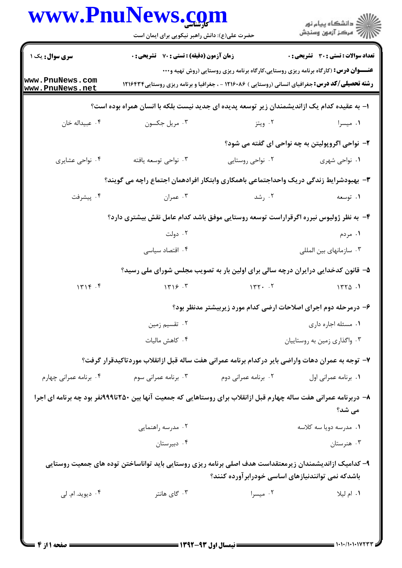|                                    | www.PnuNews.com<br>حضرت علی(ع): دانش راهبر نیکویی برای ایمان است                                                  |                                                                                                                                                                                                       | ِ<br>∭ دانشڪاه پيام نور<br>∭ مرڪز آزمون وسنڊش   |
|------------------------------------|-------------------------------------------------------------------------------------------------------------------|-------------------------------------------------------------------------------------------------------------------------------------------------------------------------------------------------------|-------------------------------------------------|
| <b>سری سوال :</b> یک ۱             | <b>زمان آزمون (دقیقه) : تستی : 70 قشریحی : 0</b>                                                                  |                                                                                                                                                                                                       | <b>تعداد سوالات : تستی : 30 ٪ تشریحی : 0</b>    |
| www.PnuNews.com<br>www.PnuNews.net |                                                                                                                   | <b>عنــــوان درس:</b> (کارگاه برنامه ریزی روستایی،کارگاه برنامه ریزی روستایی (روش تهیه و۰۰۰<br><b>رشته تحصیلی/کد درس:</b> جغرافیای انسانی (روستایی ) ۱۲۱۶۰۸۶ - ، جغرافیا و برنامه ریزی روستایی1۲۱۶۴۳۴ |                                                 |
|                                    | ا– به عقیده کدام یک ازاندیشمندان زیر توسعه پدیده ای جدید نیست بلکه با انسان همراه بوده است؟                       |                                                                                                                                                                                                       |                                                 |
| ۰۴ عبيداله خان                     | ۰۳ مريل جکسون                                                                                                     | ۰۲ ویتز                                                                                                                                                                                               | ۰۱ میسرا                                        |
|                                    |                                                                                                                   |                                                                                                                                                                                                       | ۲- نواحی اگروپولیتن به چه نواحی ای گفته می شود؟ |
| ۰۴ نواحی عشایری                    | ۰۳ نواحی توسعه یافته                                                                                              | ۰۲ نواحی روستایی                                                                                                                                                                                      | ٠١ نواحي شهري                                   |
|                                    | ۳- بهبودشرایط زندگی دریک واحداجتماعی باهمکاری وابتکار افرادهمان اجتماع راچه می گویند؟                             |                                                                                                                                                                                                       |                                                 |
| ۰۴ پیشرفت                          | ۰۳ عمران                                                                                                          | ۰۲ رشد                                                                                                                                                                                                | ۰۱ توسعه                                        |
|                                    | ۴- به نظر ژولیوس نیرره اگرقراراست توسعه روستایی موفق باشد کدام عامل نقش بیشتری دارد؟                              |                                                                                                                                                                                                       |                                                 |
|                                    | ۰۲ دولت                                                                                                           |                                                                                                                                                                                                       | ۰۱ مردم                                         |
|                                    | ۰۴ اقتصاد سیاسی                                                                                                   |                                                                                                                                                                                                       | ۰۳ سازمانهای بین المللی                         |
|                                    | ۵– قانون کدخدایی درایران درچه سالی برای اولین بار به تصویب مجلس شورای ملی رسید؟                                   |                                                                                                                                                                                                       |                                                 |
| 1719.9                             | 1719.7                                                                                                            | 147.7                                                                                                                                                                                                 | 1550.1                                          |
|                                    |                                                                                                                   | ۶– درمرحله دوم اجرای اصلاحات ارضی کدام مورد زیربیشتر مدنظر بود؟                                                                                                                                       |                                                 |
|                                    | ۰۲ تقسیم زمین                                                                                                     |                                                                                                                                                                                                       | ٠١. مسئله اجاره داري                            |
|                                    | ۰۴ کاهش مالیات                                                                                                    |                                                                                                                                                                                                       | ۰۳ واگذاری زمین به روستاییان                    |
|                                    | ۷– توجه به عمران دهات واراضی بایر درکدام برنامه عمرانی هفت ساله قبل ازانقلاب موردتاکیدقرار گرفت؟                  |                                                                                                                                                                                                       |                                                 |
| ۰۴ برنامه عمرانی چهارم             | ۰۳ برنامه عمرانی سوم                                                                                              | ۰۲ برنامه عمرانی دوم                                                                                                                                                                                  | ٠١. برنامه عمراني اول                           |
|                                    | ۸– دربرنامه عمرانی هفت ساله چهارم قبل ازانقلاب برای روستاهایی که جمعیت آنها بین ۲۵۰تا۹۹۹نفر بود چه برنامه ای اجرا |                                                                                                                                                                                                       | می شد؟                                          |
|                                    | ۰۲ مدرسه راهنمایی                                                                                                 |                                                                                                                                                                                                       | ۰۱ مدرسه دويا سه كلاسه                          |
|                                    | ۰۴ دبیرستان                                                                                                       |                                                                                                                                                                                                       | ۰۳ هنرستان                                      |
|                                    | ۹– کدامیک ازاندیشمندان زیرمعتقداست هدف اصلی برنامه ریزی روستایی باید تواناساختن توده های جمعیت روستایی            | باشدکه نمی توانندنیازهای اساسی خودرابر آورده کنند؟                                                                                                                                                    |                                                 |
| ۰۴ دیوید. ام. لی                   | ۰۳ گای هانتر                                                                                                      | ۰۲ میسرا                                                                                                                                                                                              | ٠١. ام ليلا                                     |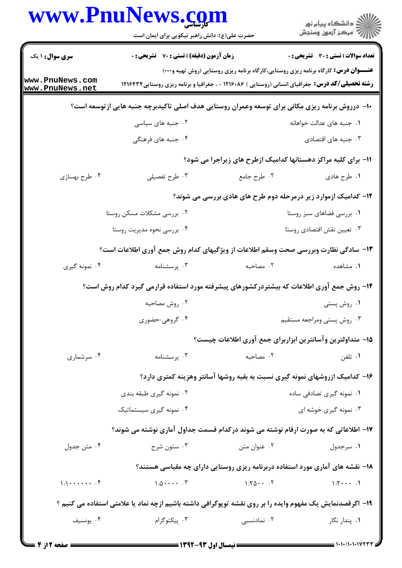|                                         | www.PnuNews.com                                                                                           |                                                               |                                                                                                                                                                                                       |
|-----------------------------------------|-----------------------------------------------------------------------------------------------------------|---------------------------------------------------------------|-------------------------------------------------------------------------------------------------------------------------------------------------------------------------------------------------------|
|                                         | حضرت علی(ع): دانش راهبر نیکویی برای ایمان است                                                             |                                                               | ر<br>دانشڪاه پيام نور)<br>ا∛ مرڪز آزمون وسنڊش                                                                                                                                                         |
| <b>سری سوال :</b> ۱ یک                  | <b>زمان آزمون (دقیقه) : تستی : 70 ٪ تشریحی : 0</b>                                                        |                                                               | <b>تعداد سوالات : تستی : 30 ٪ تشریحی : 0</b>                                                                                                                                                          |
| www.PnuNews.com<br>www.PnuNews.net      |                                                                                                           |                                                               | <b>عنـــوان درس:</b> کارگاه برنامه ریزی روستایی،کارگاه برنامه ریزی روستایی (روش تهیه و۰۰۰)<br><b>رشته تحصیلی/کد درس:</b> جغرافیای انسانی (روستایی ) ۱۲۱۶۰۸۶ - ، جغرافیا و برنامه ریزی روستایی ۱۲۱۶۴۳۴ |
|                                         | ∙ا− درروش برنامه ریزی مکانی برای توسعه وعمران روستایی هدف اصلی تاکیدبرچه جنبه هایی ازتوسعه است؟           |                                                               |                                                                                                                                                                                                       |
|                                         | ۰۲ جنبه های سیاسی                                                                                         |                                                               | ۰۱ جنبه های عدالت خواهانه                                                                                                                                                                             |
|                                         | ۰۴ جنبه های فرهنگی                                                                                        |                                                               | ۰۳ جنبه های اقتصادی                                                                                                                                                                                   |
|                                         |                                                                                                           | 11- برای کلیه مراکز دهستانها کدامیک ازطرح های زیراجرا می شود؟ |                                                                                                                                                                                                       |
| ۰۴ طرح بهسازی                           | ۰۳ طرح تفصیلی                                                                                             | ۰۲ طرح جامع                                                   | ۰۱ طرح هادي                                                                                                                                                                                           |
|                                         |                                                                                                           |                                                               | ۱۲- کدامیک ازموارد زیر درمرحله دوم طرح های هادی بررسی می شوند؟                                                                                                                                        |
|                                         | ۰۲ بررسی مشکلات مسکن روستا                                                                                |                                                               | ۰۱ بررسی فضاهای سبز روستا                                                                                                                                                                             |
|                                         | ۴. بررسی نحوه مدیریت روستا                                                                                |                                                               | ۰۳ تعيين نقش اقتصادي روستا                                                                                                                                                                            |
|                                         | ۱۳- سادگی نظارت وبررسی صحت وسقم اطلاعات از ویژگیهای کدام روش جمع آوری اطلاعات است؟                        |                                                               |                                                                                                                                                                                                       |
| ۰۴ نمونه گیری                           | ۰۳ پرسشنامه                                                                                               | ۰۲ مصاحبه                                                     | ۰۱ مشاهده                                                                                                                                                                                             |
|                                         | ۱۴– روش جمع آوری اطلاعات که بیشتردرکشورهای پیشرفته مورد استفاده قرارمی گیرد کدام روش است؟                 |                                                               |                                                                                                                                                                                                       |
|                                         | ۰۲ روش مصاحبه                                                                                             |                                                               | ۰۱ روش پستی                                                                                                                                                                                           |
|                                         | ۰۴ گروهي حضوري                                                                                            |                                                               | ۰۳ روش پستی ومراجعه مستقیم                                                                                                                                                                            |
|                                         |                                                                                                           |                                                               | ۱۵– متداولترین وآسانترین ابزاربرای جمع آوری اطلاعات چیست؟                                                                                                                                             |
| ۰۴ سرشماری                              | ۰۳ پرسشنامه                                                                                               | ۰۲ مصاحبه                                                     | ۰۱ تلفن                                                                                                                                                                                               |
|                                         |                                                                                                           |                                                               | ۱۶- کدامیک ازروشهای نمونه گیری نسبت به بقیه روشها آسانتر وهزینه کمتری دارد؟                                                                                                                           |
|                                         | ۰۲ نمونه گیری طبقه بندی                                                                                   |                                                               | ۰۱ نمونه گیری تصادفی ساده                                                                                                                                                                             |
|                                         | ۰۴ نمونه گیری سیستماتیک                                                                                   |                                                               | ۰۳ نمونه گیری خوشه ای                                                                                                                                                                                 |
|                                         | ۱۷– اطلاعاتی که به صورت ارقام نوشته می شوند درکدام قسمت جداول آماری نوشته می شوند؟                        |                                                               |                                                                                                                                                                                                       |
| ۰۴ متن جدول                             | ۰۳ ستون شرح                                                                                               | ۰۲ عنوان متن                                                  | ۰۱ سرجدول                                                                                                                                                                                             |
|                                         |                                                                                                           |                                                               | ۱۸- نقشه های آماری مورد استفاده دربرنامه ریزی روستایی دارای چه مقیاسی هستند؟                                                                                                                          |
| $1:1 \cdot \cdot \cdot \cdot \cdot$ . f | $1: \Delta$ $\Upsilon$                                                                                    | 1.707                                                         | $\Lambda: \mathbb{Y} \dashrightarrow \Lambda$                                                                                                                                                         |
|                                         | ۱۹- اگرقصدنمایش یک مفهوم وایده را بر روی نقشه توپوگرافی داشته باشیم ازچه نماد یا علامتی استفاده می کنیم ؟ |                                                               |                                                                                                                                                                                                       |
| ۰۴ يونسيف                               | ۰۳ پیکتوگرام                                                                                              | ۰۲ نمادنسبی                                                   | ۰۱ پندار نگار                                                                                                                                                                                         |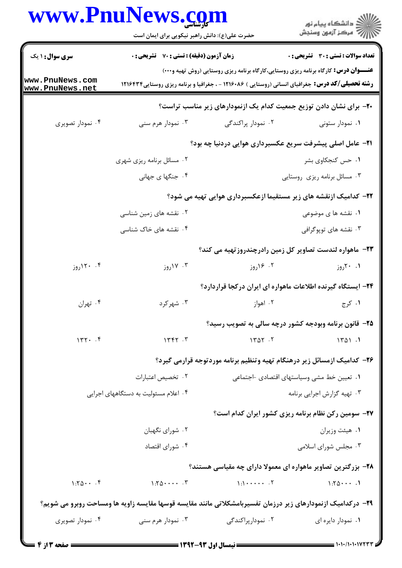## www.PnuNews.com

|                                    | www.PnuNews.com                                                                                             |                                                                                                                                                                                                       | ر دانشگاه پيام نور<br>ا∛هرکز آزمون وسنجش                    |
|------------------------------------|-------------------------------------------------------------------------------------------------------------|-------------------------------------------------------------------------------------------------------------------------------------------------------------------------------------------------------|-------------------------------------------------------------|
|                                    | حضرت علی(ع): دانش راهبر نیکویی برای ایمان است                                                               |                                                                                                                                                                                                       |                                                             |
| <b>سری سوال : ۱ یک</b>             | زمان آزمون (دقیقه) : تستی : 70 ٪ تشریحی : 0                                                                 |                                                                                                                                                                                                       | تعداد سوالات : تستي : 30 ٪ تشريحي : 0                       |
| www.PnuNews.com<br>www.PnuNews.net |                                                                                                             | <b>عنـــوان درس:</b> کارگاه برنامه ریزی روستایی،کارگاه برنامه ریزی روستایی (روش تهیه و۰۰۰)<br><b>رشته تحصیلی/کد درس:</b> جغرافیای انسانی (روستایی ) ۱۲۱۶۰۸۶ - ، جغرافیا و برنامه ریزی روستایی1۲۱۶۴۳ ) |                                                             |
|                                    |                                                                                                             | +۲- برای نشان دادن توزیع جمعیت کدام یک ازنمودارهای زیر مناسب تراست؟                                                                                                                                   |                                                             |
| ۰۴ نمودار تصویری                   | ۰۳ نمودار هرم سنی                                                                                           | ۰۲ نمودار پراکندگی                                                                                                                                                                                    | ۰۱ نمودار ستونی                                             |
|                                    |                                                                                                             | <b>۲۱</b> - عامل اصلی پیشرفت سریع عکسبرداری هوایی دردنیا چه بود؟                                                                                                                                      |                                                             |
|                                    | ۰۲ مسائل برنامه ریزی شهری                                                                                   |                                                                                                                                                                                                       | ۰۱ حس کنجکاوی بشر                                           |
|                                    | ۰۴ جنگها ی جهانی                                                                                            |                                                                                                                                                                                                       | ۰۳ مسائل برنامه ریزی روستایی                                |
|                                    |                                                                                                             | ۲۲– کدامیک ازنقشه های زیر مستقیما ازعکسبرداری هوایی تهیه می شود؟                                                                                                                                      |                                                             |
|                                    | ۰۲ نقشه های زمین شناسی                                                                                      |                                                                                                                                                                                                       | ۰۱ نقشه ها ی موضوعی                                         |
|                                    | ۰۴ نقشه های خاک شناسی                                                                                       |                                                                                                                                                                                                       | ۰۳ نقشه های توپوگرافی                                       |
|                                    |                                                                                                             | ۲۳– ماهواره لندست تصاویر کل زمین رادرچندروزتهیه می کند؟                                                                                                                                               |                                                             |
| ۰۴ ۱۲۰ روز                         | ۰۳ ۱۷روز                                                                                                    | ۰۲ ۱۶ روز                                                                                                                                                                                             | ۰۱ ۲۰ روز                                                   |
|                                    |                                                                                                             | ۲۴- ایستگاه گیرنده اطلاعات ماهواره ای ایران درکجا قراردارد؟                                                                                                                                           |                                                             |
| ۰۴ تهران                           | ۰۳ شهرکرد                                                                                                   | ۰۲ اهواز                                                                                                                                                                                              | ۰۱ کرج                                                      |
|                                    |                                                                                                             | ۲۵- قانون برنامه وبودجه کشور درچه سالی به تصویب رسید؟                                                                                                                                                 |                                                             |
| $147.$ $.9$                        | 1447.7                                                                                                      | 1407.7                                                                                                                                                                                                | 1401.1                                                      |
|                                    |                                                                                                             | ۲۶– کدامیک ازمسائل زیر درهنگام تهیه وتنظیم برنامه موردتوجه قرارمی گیرد؟                                                                                                                               |                                                             |
|                                    | ٠٢ تخصيص اعتبارات                                                                                           |                                                                                                                                                                                                       | ٠١ تعيين خط مشي وسياستهاي اقتصادي -اجتماعي                  |
|                                    | ۰۴ اعلام مسئولیت به دستگاههای اجرایی                                                                        |                                                                                                                                                                                                       | ۰۳ تهیه گزارش اجرایی برنامه                                 |
|                                    |                                                                                                             |                                                                                                                                                                                                       | <b>۲۷</b> - سومین رکن نظام برنامه ریزی کشور ایران کدام است؟ |
|                                    | ۰۲ شورای نگهبان                                                                                             |                                                                                                                                                                                                       | ٠١ هيئت وزيران                                              |
|                                    | ۰۴ شورای اقتصاد                                                                                             |                                                                                                                                                                                                       | ۰۳ مجلس شورای اسلامی                                        |
|                                    |                                                                                                             | ۲۸- بزرگترین تصاویر ماهواره ای معمولا دارای چه مقیاسی هستند؟                                                                                                                                          |                                                             |
| $1:Y_0 \cdots Y_n$                 | $1:Y_0 \cdots Y_n$                                                                                          | $\bigcup_{i=1}^{n} \cdots \cdots \cdots \cdots$                                                                                                                                                       | 1:701                                                       |
|                                    | ۲۹- درکدامیک ازنمودارهای زیر درزمان تفسیربامشکلاتی مانند مقایسه قوسها مقایسه زاویه ها ومساحت روبرو می شویم؟ |                                                                                                                                                                                                       |                                                             |
| ۰۴ نمودار تصویری                   | ۰۳ نمودار هرم سنی                                                                                           | ۰۲ نمودارپراکندگی                                                                                                                                                                                     | ۰۱ نمودار دايره اي                                          |
|                                    |                                                                                                             |                                                                                                                                                                                                       |                                                             |